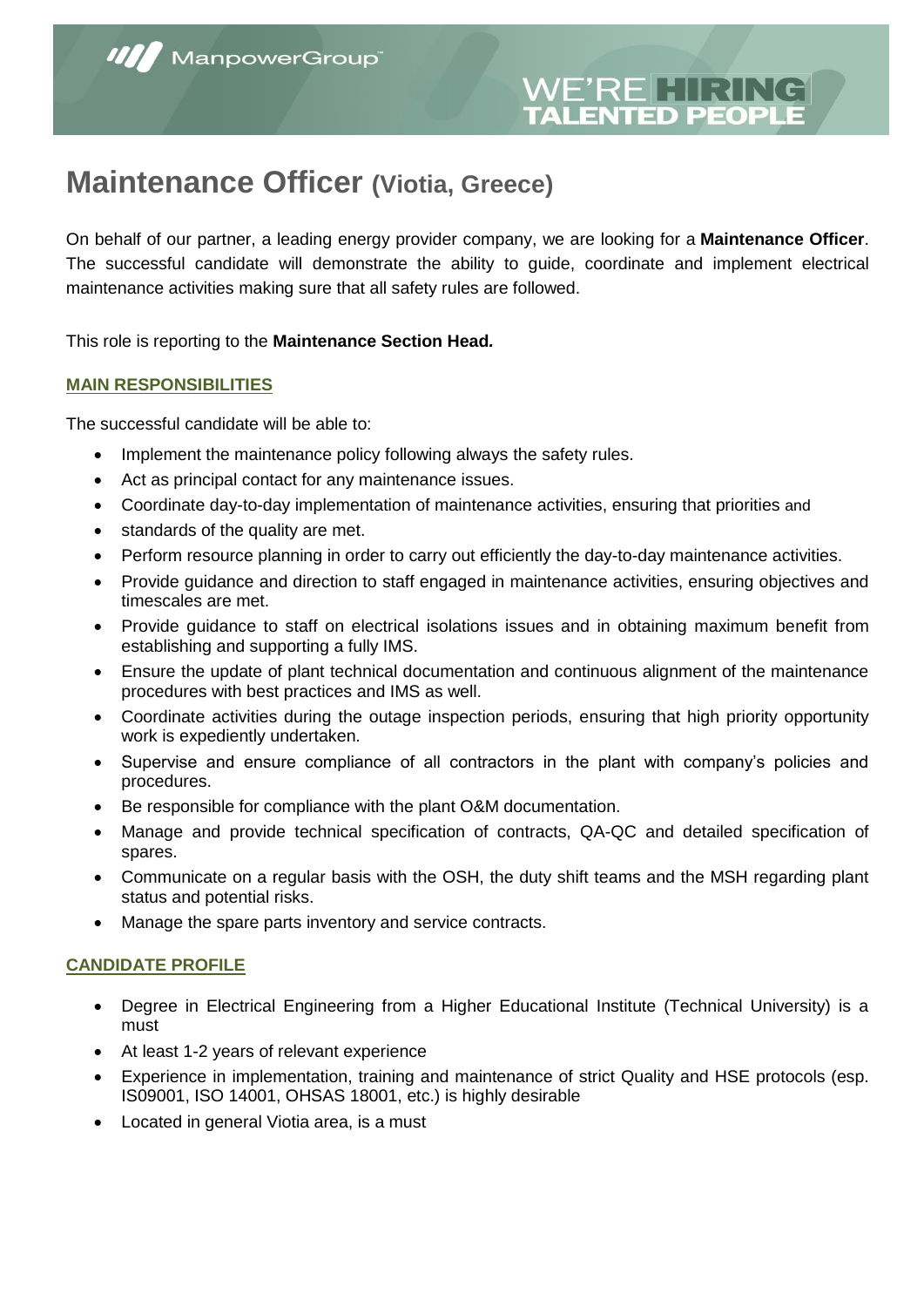# **ITED PEOPLE**

# **Maintenance Officer (Viotia, Greece)**

On behalf of our partner, a leading energy provider company, we are looking for a **Maintenance Officer**. The successful candidate will demonstrate the ability to guide, coordinate and implement electrical maintenance activities making sure that all safety rules are followed.

This role is reporting to the **Maintenance Section Head***.*

#### **MAIN RESPONSIBILITIES**

The successful candidate will be able to:

- Implement the maintenance policy following always the safety rules.
- Act as principal contact for any maintenance issues.
- Coordinate day-to-day implementation of maintenance activities, ensuring that priorities and
- standards of the quality are met.
- Perform resource planning in order to carry out efficiently the day-to-day maintenance activities.
- Provide guidance and direction to staff engaged in maintenance activities, ensuring objectives and timescales are met.
- Provide guidance to staff on electrical isolations issues and in obtaining maximum benefit from establishing and supporting a fully IMS.
- Ensure the update of plant technical documentation and continuous alignment of the maintenance procedures with best practices and IMS as well.
- Coordinate activities during the outage inspection periods, ensuring that high priority opportunity work is expediently undertaken.
- Supervise and ensure compliance of all contractors in the plant with company's policies and procedures.
- Be responsible for compliance with the plant O&M documentation.
- Manage and provide technical specification of contracts, QA-QC and detailed specification of spares.
- Communicate on a regular basis with the OSH, the duty shift teams and the MSH regarding plant status and potential risks.
- Manage the spare parts inventory and service contracts.

#### **CANDIDATE PROFILE**

- Degree in Electrical Engineering from a Higher Educational Institute (Technical University) is a must
- At least 1-2 years of relevant experience
- Experience in implementation, training and maintenance of strict Quality and HSE protocols (esp. IS09001, ISO 14001, OHSAS 18001, etc.) is highly desirable
- Located in general Viotia area, is a must